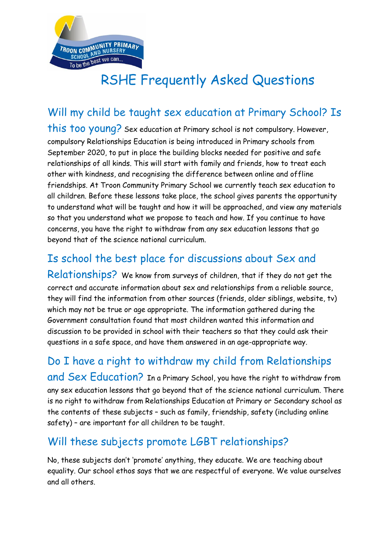

# RSHE Frequently Asked Questions

Will my child be taught sex education at Primary School? Is this too young? Sex education at Primary school is not compulsory. However, compulsory Relationships Education is being introduced in Primary schools from September 2020, to put in place the building blocks needed for positive and safe relationships of all kinds. This will start with family and friends, how to treat each other with kindness, and recognising the difference between online and offline friendships. At Troon Community Primary School we currently teach sex education to all children. Before these lessons take place, the school gives parents the opportunity to understand what will be taught and how it will be approached, and view any materials so that you understand what we propose to teach and how. If you continue to have concerns, you have the right to withdraw from any sex education lessons that go beyond that of the science national curriculum.

# Is school the best place for discussions about Sex and

Relationships? We know from surveys of children, that if they do not get the correct and accurate information about sex and relationships from a reliable source, they will find the information from other sources (friends, older siblings, website, tv) which may not be true or age appropriate. The information gathered during the Government consultation found that most children wanted this information and discussion to be provided in school with their teachers so that they could ask their questions in a safe space, and have them answered in an age-appropriate way.

# Do I have a right to withdraw my child from Relationships

and Sex Education? In a Primary School, you have the right to withdraw from any sex education lessons that go beyond that of the science national curriculum. There is no right to withdraw from Relationships Education at Primary or Secondary school as the contents of these subjects – such as family, friendship, safety (including online safety) – are important for all children to be taught.

#### Will these subjects promote LGBT relationships?

No, these subjects don't 'promote' anything, they educate. We are teaching about equality. Our school ethos says that we are respectful of everyone. We value ourselves and all others.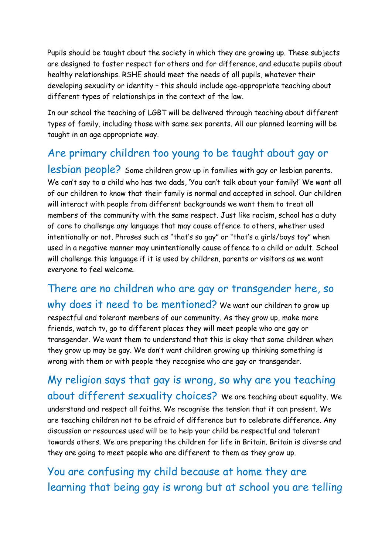Pupils should be taught about the society in which they are growing up. These subjects are designed to foster respect for others and for difference, and educate pupils about healthy relationships. RSHE should meet the needs of all pupils, whatever their developing sexuality or identity – this should include age-appropriate teaching about different types of relationships in the context of the law.

In our school the teaching of LGBT will be delivered through teaching about different types of family, including those with same sex parents. All our planned learning will be taught in an age appropriate way.

### Are primary children too young to be taught about gay or

lesbian people? Some children grow up in families with gay or lesbian parents. We can't say to a child who has two dads, 'You can't talk about your family!' We want all of our children to know that their family is normal and accepted in school. Our children will interact with people from different backgrounds we want them to treat all members of the community with the same respect. Just like racism, school has a duty of care to challenge any language that may cause offence to others, whether used intentionally or not. Phrases such as "that's so gay" or "that's a girls/boys toy" when used in a negative manner may unintentionally cause offence to a child or adult. School will challenge this language if it is used by children, parents or visitors as we want everyone to feel welcome.

There are no children who are gay or transgender here, so why does it need to be mentioned? We want our children to grow up respectful and tolerant members of our community. As they grow up, make more friends, watch tv, go to different places they will meet people who are gay or transgender. We want them to understand that this is okay that some children when they grow up may be gay. We don't want children growing up thinking something is wrong with them or with people they recognise who are gay or transgender.

My religion says that gay is wrong, so why are you teaching about different sexuality choices? We are teaching about equality. We understand and respect all faiths. We recognise the tension that it can present. We are teaching children not to be afraid of difference but to celebrate difference. Any discussion or resources used will be to help your child be respectful and tolerant towards others. We are preparing the children for life in Britain. Britain is diverse and they are going to meet people who are different to them as they grow up.

You are confusing my child because at home they are learning that being gay is wrong but at school you are telling